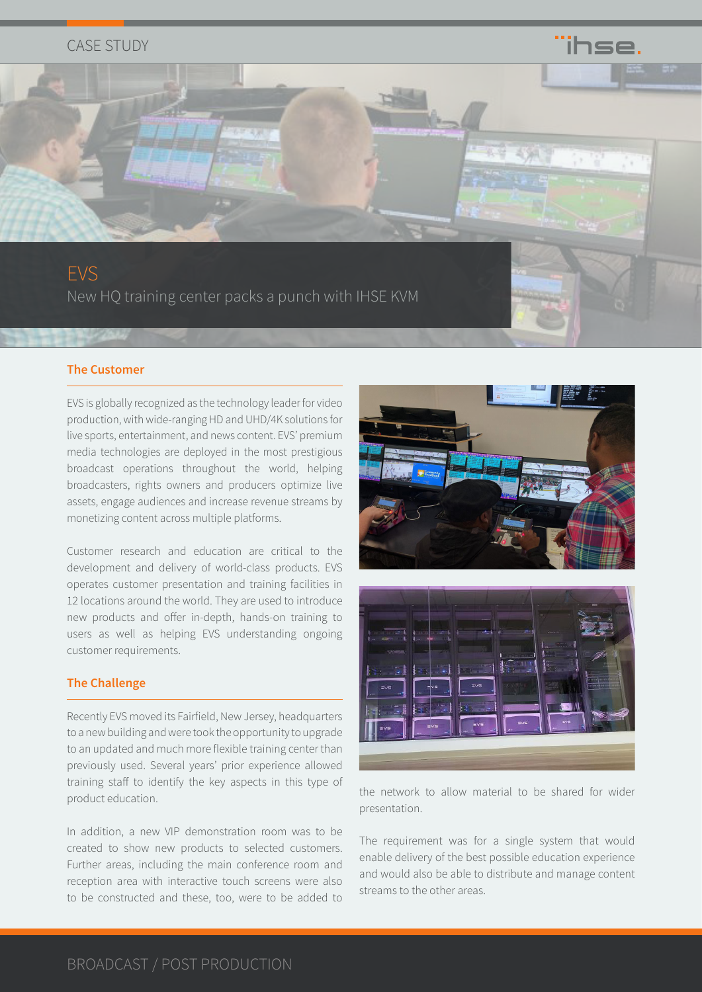## CASE STUDY



### **The Customer**

EVS is globally recognized as the technology leader for video production, with wide-ranging HD and UHD/4K solutions for live sports, entertainment, and news content. EVS' premium media technologies are deployed in the most prestigious broadcast operations throughout the world, helping broadcasters, rights owners and producers optimize live assets, engage audiences and increase revenue streams by monetizing content across multiple platforms.

Customer research and education are critical to the development and delivery of world-class products. EVS operates customer presentation and training facilities in 12 locations around the world. They are used to introduce new products and offer in-depth, hands-on training to users as well as helping EVS understanding ongoing customer requirements.

### **The Challenge**

Recently EVS moved its Fairfield, New Jersey, headquarters to a new building and were took the opportunity to upgrade to an updated and much more flexible training center than previously used. Several years' prior experience allowed training staff to identify the key aspects in this type of product education.

In addition, a new VIP demonstration room was to be created to show new products to selected customers. Further areas, including the main conference room and reception area with interactive touch screens were also to be constructed and these, too, were to be added to



ïhse



the network to allow material to be shared for wider presentation.

The requirement was for a single system that would enable delivery of the best possible education experience and would also be able to distribute and manage content streams to the other areas.